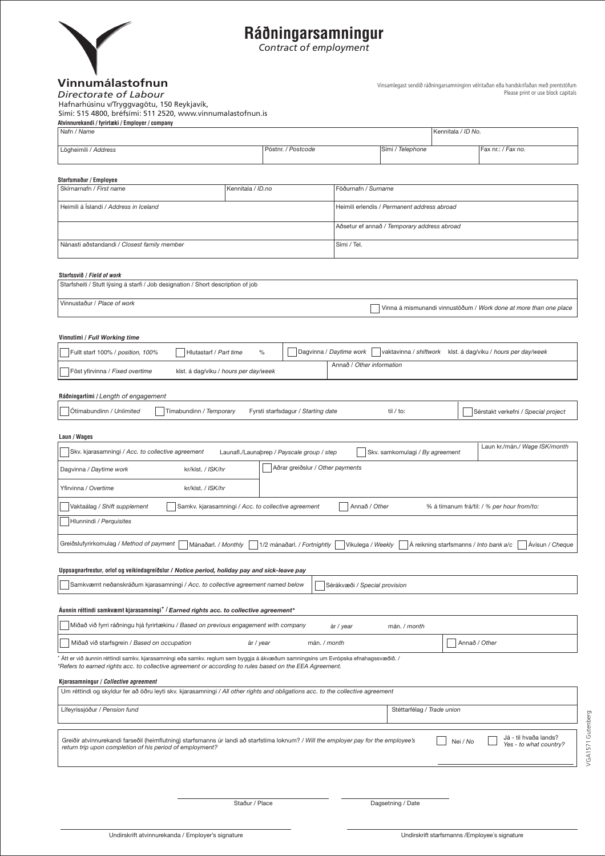

# **Ráðningarsamningur**

*Contract of employment*

### **Vinnumálastofnun** *Directorate of Labour*

Vinsamlegast sendið ráðningarsamninginn vélritaðan eða handskrifaðan með prentstöfum Please print or use block capitals

| <i>DILCCORDIC OF LANGUI</i>                                 |
|-------------------------------------------------------------|
| Hafnarhúsinu v/Tryggvagötu, 150 Reykjavík,                  |
| Sími: 515 4800, bréfsími: 511 2520, www.vinnumalastofnun.is |

| Atvinnurekandi / fyrirtæki / Employer / company<br>Nafn / Name                                                                                                                                      |                                                                                                                           |                                    |             |                                             | Kennitala / ID No. |                                     |  |  |
|-----------------------------------------------------------------------------------------------------------------------------------------------------------------------------------------------------|---------------------------------------------------------------------------------------------------------------------------|------------------------------------|-------------|---------------------------------------------|--------------------|-------------------------------------|--|--|
|                                                                                                                                                                                                     |                                                                                                                           |                                    |             |                                             |                    |                                     |  |  |
| Lögheimili / Address                                                                                                                                                                                |                                                                                                                           | Póstnr. / Postcode                 |             | Sími / Telephone                            |                    | Fax nr.: / Fax no.                  |  |  |
|                                                                                                                                                                                                     |                                                                                                                           |                                    |             |                                             |                    |                                     |  |  |
| Starfsmaður / Employee<br>Skírnarnafn / First name                                                                                                                                                  | Kennitala / ID.no                                                                                                         |                                    |             | Föðurnafn / Surname                         |                    |                                     |  |  |
|                                                                                                                                                                                                     |                                                                                                                           |                                    |             |                                             |                    |                                     |  |  |
| Heimili á Íslandi / Address in Iceland                                                                                                                                                              |                                                                                                                           |                                    |             | Heimili erlendis / Permanent address abroad |                    |                                     |  |  |
|                                                                                                                                                                                                     |                                                                                                                           |                                    |             | Aðsetur ef annað / Temporary address abroad |                    |                                     |  |  |
| Nánasti aðstandandi / Closest family member                                                                                                                                                         |                                                                                                                           |                                    | Sími / Tel. |                                             |                    |                                     |  |  |
|                                                                                                                                                                                                     |                                                                                                                           |                                    |             |                                             |                    |                                     |  |  |
| Starfssvið / Field of work                                                                                                                                                                          |                                                                                                                           |                                    |             |                                             |                    |                                     |  |  |
| Starfsheiti / Stutt lýsing á starfi / Job designation / Short description of job                                                                                                                    |                                                                                                                           |                                    |             |                                             |                    |                                     |  |  |
| Vinnustaður / Place of work                                                                                                                                                                         |                                                                                                                           |                                    |             |                                             |                    |                                     |  |  |
| Vinna á mismunandi vinnustöðum / Work done at more than one place                                                                                                                                   |                                                                                                                           |                                    |             |                                             |                    |                                     |  |  |
|                                                                                                                                                                                                     |                                                                                                                           |                                    |             |                                             |                    |                                     |  |  |
| Vinnutími / Full Working time                                                                                                                                                                       |                                                                                                                           |                                    |             |                                             |                    |                                     |  |  |
| Fullt starf 100% / position, 100%                                                                                                                                                                   | Dagvinna / Daytime work<br>vaktavinna / shiftwork klst. á dag/viku / hours per day/week<br>Hlutastarf / Part time<br>$\%$ |                                    |             |                                             |                    |                                     |  |  |
| Annað / Other information<br>klst. á dag/viku / hours per day/week<br>Föst yfirvinna / Fixed overtime                                                                                               |                                                                                                                           |                                    |             |                                             |                    |                                     |  |  |
|                                                                                                                                                                                                     |                                                                                                                           |                                    |             |                                             |                    |                                     |  |  |
| Ráðningartími / Length of engagement                                                                                                                                                                |                                                                                                                           |                                    |             |                                             |                    |                                     |  |  |
| Ótímabundinn / Unlimited<br>Tímabundinn / Temporary                                                                                                                                                 |                                                                                                                           | Fyrsti starfsdagur / Starting date |             | til / to:                                   |                    | Sérstakt verkefni / Special project |  |  |
| Laun / Wages                                                                                                                                                                                        |                                                                                                                           |                                    |             |                                             |                    |                                     |  |  |
| Laun kr./mán./ Wage ISK/month                                                                                                                                                                       |                                                                                                                           |                                    |             |                                             |                    |                                     |  |  |
| Skv. kjarasamningi / Acc. to collective agreement<br>Launafl./Launaþrep / Payscale group / step<br>Skv. samkomulagi / By agreement                                                                  |                                                                                                                           |                                    |             |                                             |                    |                                     |  |  |
| Aðrar greiðslur / Other payments<br>kr/klst. / ISK/hr<br>Dagvinna / Daytime work                                                                                                                    |                                                                                                                           |                                    |             |                                             |                    |                                     |  |  |
| Yfirvinna / Overtime<br>kr/klst. / ISK/hr                                                                                                                                                           |                                                                                                                           |                                    |             |                                             |                    |                                     |  |  |
| Vaktaálag / Shift supplement<br>Samkv. kjarasamningi / Acc. to collective agreement<br>Annað / Other<br>% á tímanum frá/til: / % per hour from/to:                                                  |                                                                                                                           |                                    |             |                                             |                    |                                     |  |  |
| Hlunnindi / Perquisites                                                                                                                                                                             |                                                                                                                           |                                    |             |                                             |                    |                                     |  |  |
|                                                                                                                                                                                                     |                                                                                                                           |                                    |             |                                             |                    |                                     |  |  |
| Greiðslufyrirkomulag / Method of payment<br>Mánaðarl. / Monthly<br>1/2 mánaðarl. / Fortnightly<br>Vikulega / Weekly<br>Á reikning starfsmanns / Into bank a/c<br>Ávísun / Cheque                    |                                                                                                                           |                                    |             |                                             |                    |                                     |  |  |
|                                                                                                                                                                                                     |                                                                                                                           |                                    |             |                                             |                    |                                     |  |  |
| Uppsagnarfrestur, orlof og veikindagreiðslur / Notice period, holiday pay and sick-leave pay<br>Samkvæmt neðanskráðum kjarasamningi / Acc. to collective agreement named below                      |                                                                                                                           |                                    |             |                                             |                    |                                     |  |  |
| Sérákvæði / Special provision                                                                                                                                                                       |                                                                                                                           |                                    |             |                                             |                    |                                     |  |  |
| Áunnin réttindi samkvæmt kjarasamningi* / Earned rights acc. to collective agreement*                                                                                                               |                                                                                                                           |                                    |             |                                             |                    |                                     |  |  |
| Miðað við fyrri ráðningu hjá fyrirtækinu / Based on previous engagement with company<br>ár / year<br>mán. / month                                                                                   |                                                                                                                           |                                    |             |                                             |                    |                                     |  |  |
| Miðað við starfsgrein / Based on occupation                                                                                                                                                         | ár / year                                                                                                                 | mán. / month                       |             |                                             |                    | Annað / Other                       |  |  |
| ' Átt er við áunnin réttindi samkv. kjarasamningi eða samkv. reglum sem byggja á ákvæðum samningsins um Evrópska efnahagssvæðið. /                                                                  |                                                                                                                           |                                    |             |                                             |                    |                                     |  |  |
| *Refers to earned rights acc. to collective agreement or according to rules based on the EEA Agreement.                                                                                             |                                                                                                                           |                                    |             |                                             |                    |                                     |  |  |
| Kjarasamningur / Collective agreement                                                                                                                                                               |                                                                                                                           |                                    |             |                                             |                    |                                     |  |  |
| Um réttindi og skyldur fer að öðru leyti skv. kjarasamningi / All other rights and obligations acc. to the collective agreement                                                                     |                                                                                                                           |                                    |             |                                             |                    |                                     |  |  |
| Lífeyrissjóður / Pension fund                                                                                                                                                                       |                                                                                                                           |                                    |             | Stéttarfélag / Trade union                  |                    |                                     |  |  |
|                                                                                                                                                                                                     |                                                                                                                           |                                    |             |                                             |                    |                                     |  |  |
| Já - til hvaða lands?<br>Greiðir atvinnurekandi farseðil (heimflutning) starfsmanns úr landi að starfstíma loknum? / Will the employer pay for the employee's<br>Nei / No<br>Yes - to what country? |                                                                                                                           |                                    |             |                                             |                    |                                     |  |  |
| return trip upon completion of his period of employment?                                                                                                                                            |                                                                                                                           |                                    |             |                                             |                    |                                     |  |  |
|                                                                                                                                                                                                     |                                                                                                                           |                                    |             |                                             |                    |                                     |  |  |
|                                                                                                                                                                                                     |                                                                                                                           |                                    |             |                                             |                    |                                     |  |  |
|                                                                                                                                                                                                     | Staður / Place                                                                                                            |                                    |             | Dagsetning / Date                           |                    |                                     |  |  |
|                                                                                                                                                                                                     |                                                                                                                           |                                    |             |                                             |                    |                                     |  |  |

VGA1571 Gutenberg

VGA1571 Gutenberg